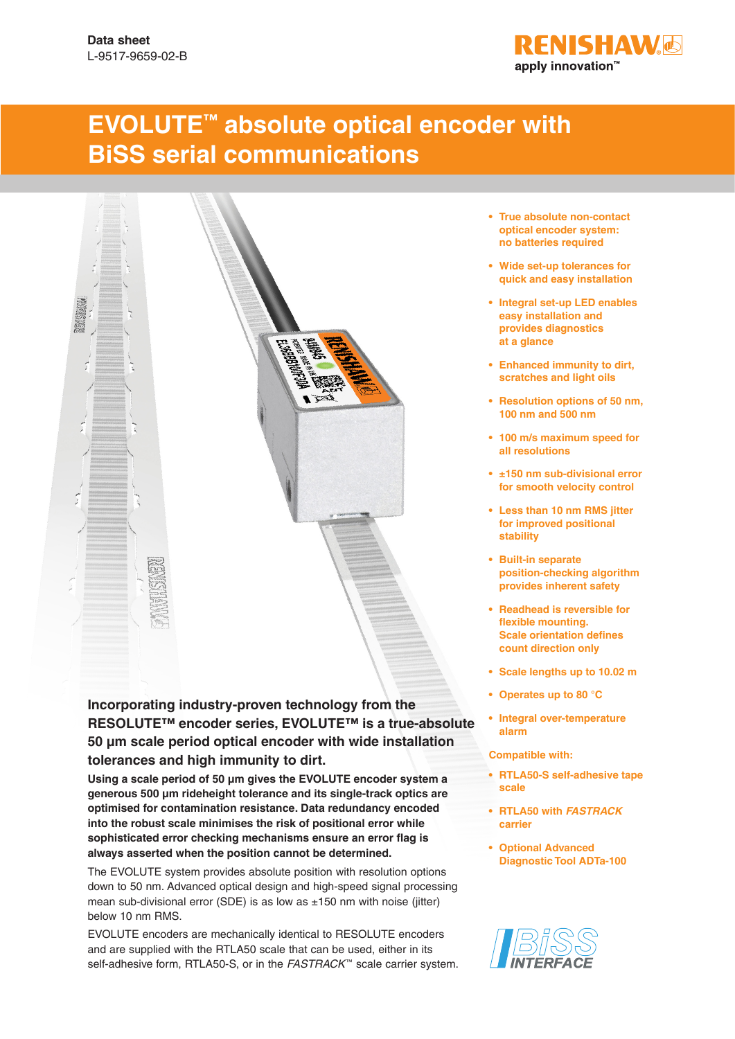

# **EVOLUTE™ absolute optical encoder with BiSS serial communications**



#### **Incorporating industry-proven technology from the RESOLUTE™ encoder series, EVOLUTE™ is a true-absolute 50 μm scale period optical encoder with wide installation tolerances and high immunity to dirt.**

**Using a scale period of 50 μm gives the EVOLUTE encoder system a generous 500 μm rideheight tolerance and its single-track optics are optimised for contamination resistance. Data redundancy encoded into the robust scale minimises the risk of positional error while sophisticated error checking mechanisms ensure an error flag is always asserted when the position cannot be determined.**

The EVOLUTE system provides absolute position with resolution options down to 50 nm. Advanced optical design and high-speed signal processing mean sub-divisional error (SDE) is as low as  $\pm 150$  nm with noise (jitter) below 10 nm RMS.

EVOLUTE encoders are mechanically identical to RESOLUTE encoders and are supplied with the RTLA50 scale that can be used, either in its self-adhesive form, RTLA50-S, or in the *FASTRACK*<sup>™</sup> scale carrier system.

- **• True absolute non-contact optical encoder system: no batteries required**
- **• Wide set-up tolerances for quick and easy installation**
- **• Integral set-up LED enables easy installation and provides diagnostics at a glance**
- **• Enhanced immunity to dirt, scratches and light oils**
- **• Resolution options of 50 nm, 100 nm and 500 nm**
- **• 100 m/s maximum speed for all resolutions**
- **• ±150 nm sub-divisional error for smooth velocity control**
- **• Less than 10 nm RMS jitter for improved positional stability**
- **• Built-in separate position-checking algorithm provides inherent safety**
- **• Readhead is reversible for flexible mounting. Scale orientation defines count direction only**
- **• Scale lengths up to 10.02 m**
- **• Operates up to 80 °C**
- **• Integral over-temperature alarm**

**Compatible with:**

- **• RTLA50-S self-adhesive tape scale**
- **• RTLA50 with** *FASTRACK*  **carrier**
- **• Optional Advanced Diagnostic Tool ADTa-100**

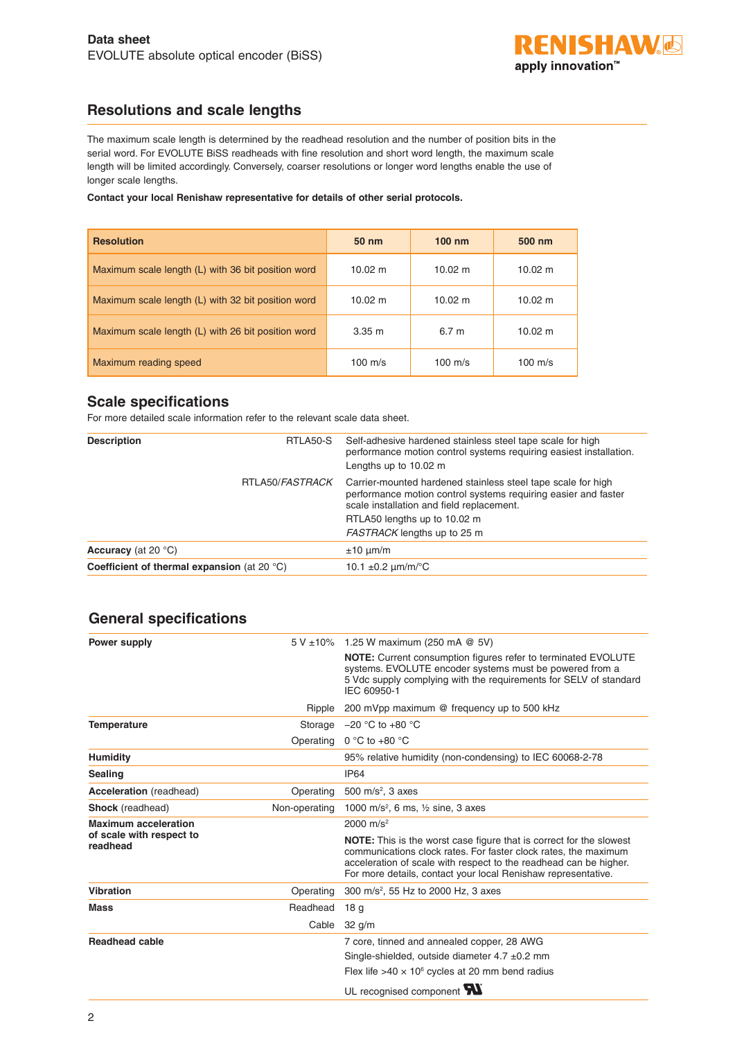

## **Resolutions and scale lengths**

The maximum scale length is determined by the readhead resolution and the number of position bits in the serial word. For EVOLUTE BiSS readheads with fine resolution and short word length, the maximum scale length will be limited accordingly. Conversely, coarser resolutions or longer word lengths enable the use of longer scale lengths.

**Contact your local Renishaw representative for details of other serial protocols.**

| <b>Resolution</b>                                  | $50 \; \text{nm}$ | $100 \; \text{nm}$ | 500 nm            |  |
|----------------------------------------------------|-------------------|--------------------|-------------------|--|
| Maximum scale length (L) with 36 bit position word | $10.02 \text{ m}$ | $10.02 \text{ m}$  | $10.02 \text{ m}$ |  |
| Maximum scale length (L) with 32 bit position word | $10.02 \text{ m}$ | $10.02 \; m$       | $10.02 \; m$      |  |
| Maximum scale length (L) with 26 bit position word | $3.35 \; m$       | 6.7 <sub>m</sub>   | $10.02 \; m$      |  |
| Maximum reading speed                              | $100 \text{ m/s}$ | 100 m/s            | $100 \text{ m/s}$ |  |

## **Scale specifications**

For more detailed scale information refer to the relevant scale data sheet.

| <b>Description</b>                                    | RTLA50-S        | Self-adhesive hardened stainless steel tape scale for high<br>performance motion control systems requiring easiest installation.<br>Lengths up to 10.02 m                   |
|-------------------------------------------------------|-----------------|-----------------------------------------------------------------------------------------------------------------------------------------------------------------------------|
|                                                       | RTLA50/FASTRACK | Carrier-mounted hardened stainless steel tape scale for high<br>performance motion control systems requiring easier and faster<br>scale installation and field replacement. |
|                                                       |                 | RTLA50 lengths up to 10.02 m                                                                                                                                                |
|                                                       |                 | FASTRACK lengths up to 25 m                                                                                                                                                 |
| <b>Accuracy</b> (at 20 $^{\circ}$ C)                  |                 | $±10 \mu m/m$                                                                                                                                                               |
| Coefficient of thermal expansion (at 20 $^{\circ}$ C) |                 | 10.1 $\pm$ 0.2 $\mu$ m/m/°C                                                                                                                                                 |
|                                                       |                 |                                                                                                                                                                             |

#### **General specifications**

| Power supply                         |               | 5 V ±10% 1.25 W maximum (250 mA @ 5V)                                                                                                                                                                                                                                               |
|--------------------------------------|---------------|-------------------------------------------------------------------------------------------------------------------------------------------------------------------------------------------------------------------------------------------------------------------------------------|
|                                      |               | <b>NOTE:</b> Current consumption figures refer to terminated EVOLUTE<br>systems. EVOLUTE encoder systems must be powered from a<br>5 Vdc supply complying with the requirements for SELV of standard<br>IEC 60950-1                                                                 |
|                                      | Ripple        | 200 mVpp maximum @ frequency up to 500 kHz                                                                                                                                                                                                                                          |
| <b>Temperature</b>                   |               | Storage $-20$ °C to +80 °C                                                                                                                                                                                                                                                          |
|                                      | Operating     | 0 °C to +80 °C                                                                                                                                                                                                                                                                      |
| <b>Humidity</b>                      |               | 95% relative humidity (non-condensing) to IEC 60068-2-78                                                                                                                                                                                                                            |
| <b>Sealing</b>                       |               | <b>IP64</b>                                                                                                                                                                                                                                                                         |
| <b>Acceleration</b> (readhead)       | Operating     | 500 m/s <sup>2</sup> , 3 axes                                                                                                                                                                                                                                                       |
| <b>Shock</b> (readhead)              | Non-operating | 1000 m/s <sup>2</sup> , 6 ms, $\frac{1}{2}$ sine, 3 axes                                                                                                                                                                                                                            |
| <b>Maximum acceleration</b>          |               | 2000 $m/s^2$                                                                                                                                                                                                                                                                        |
| of scale with respect to<br>readhead |               | <b>NOTE:</b> This is the worst case figure that is correct for the slowest<br>communications clock rates. For faster clock rates, the maximum<br>acceleration of scale with respect to the readhead can be higher.<br>For more details, contact your local Renishaw representative. |
| <b>Vibration</b>                     | Operating     | 300 m/s <sup>2</sup> , 55 Hz to 2000 Hz, 3 axes                                                                                                                                                                                                                                     |
| <b>Mass</b>                          | Readhead      | 18 <sub>g</sub>                                                                                                                                                                                                                                                                     |
|                                      | Cable         | $32$ g/m                                                                                                                                                                                                                                                                            |
| <b>Readhead cable</b>                |               | 7 core, tinned and annealed copper, 28 AWG<br>Single-shielded, outside diameter $4.7 \pm 0.2$ mm<br>Flex life $>40 \times 10^6$ cycles at 20 mm bend radius                                                                                                                         |
|                                      |               | UL recognised component W                                                                                                                                                                                                                                                           |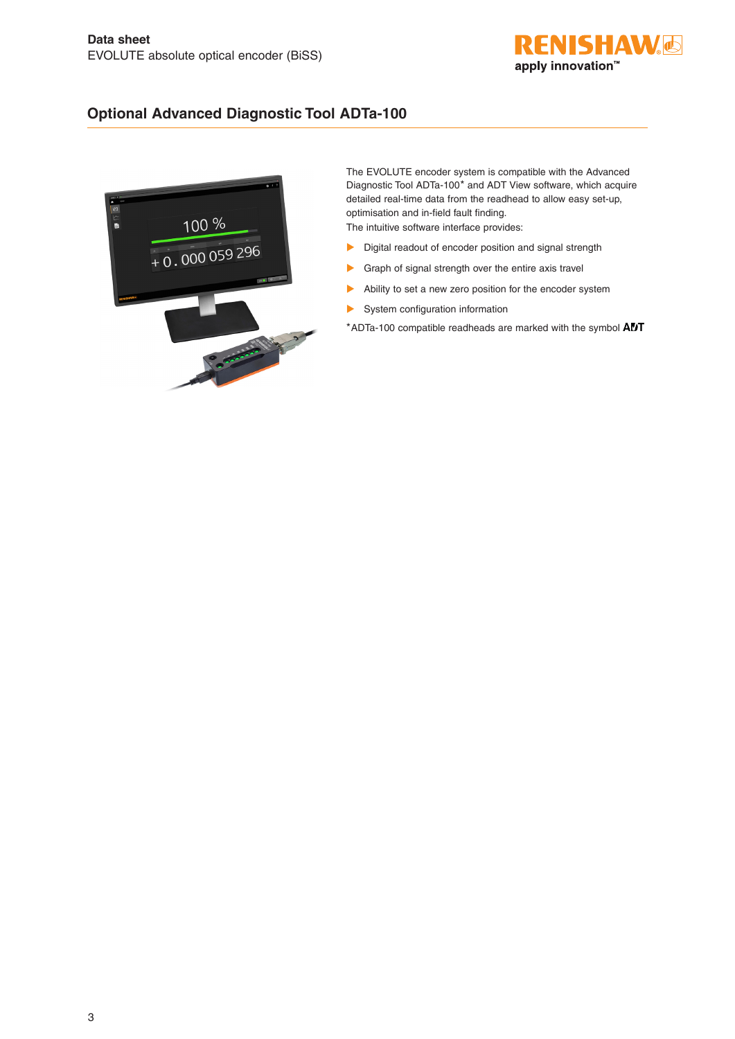

#### **Optional Advanced Diagnostic Tool ADTa-100**



The EVOLUTE encoder system is compatible with the Advanced Diagnostic Tool ADTa‑100\* and ADT View software, which acquire detailed real-time data from the readhead to allow easy set-up, optimisation and in-field fault finding. The intuitive software interface provides:

- $\blacktriangleright$  Digital readout of encoder position and signal strength
- $\blacktriangleright$  Graph of signal strength over the entire axis travel
- $\blacktriangleright$  Ability to set a new zero position for the encoder system
- $\blacktriangleright$  System configuration information

\*ADTa-100 compatible readheads are marked with the symbol  $ADT$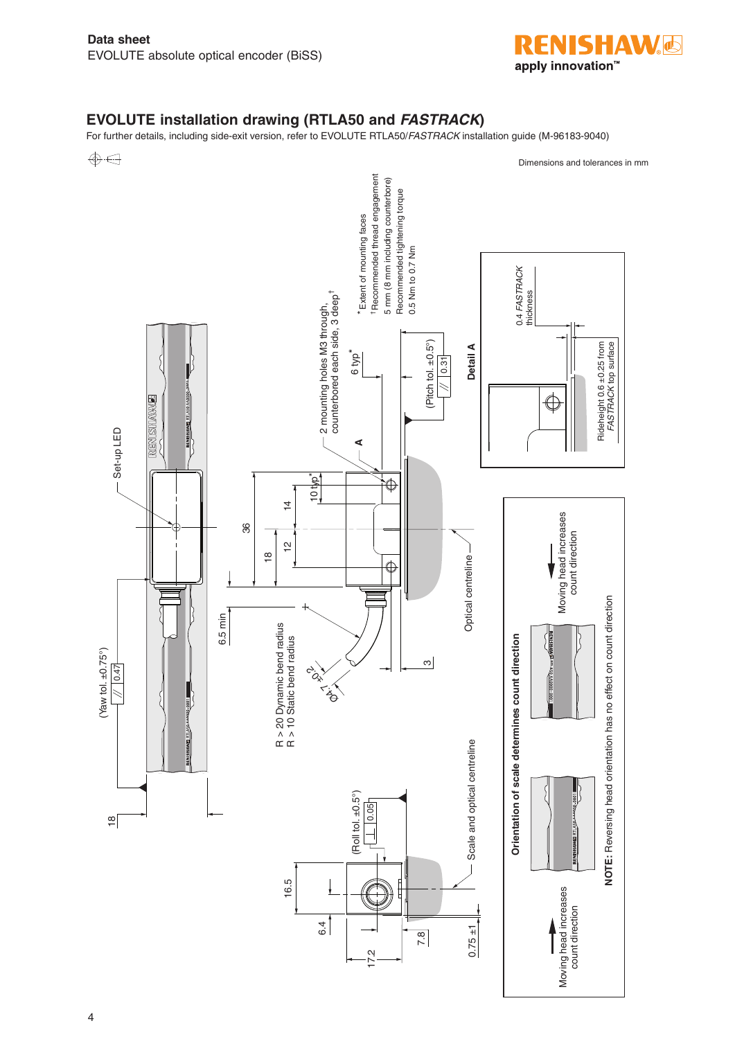

## **EVOLUTE installation drawing (RTLA50 and** *FASTRACK***)**

For further details, including side-exit version, refer to EVOLUTE RTLA50/*FASTRACK* installation guide (M-96183-9040)

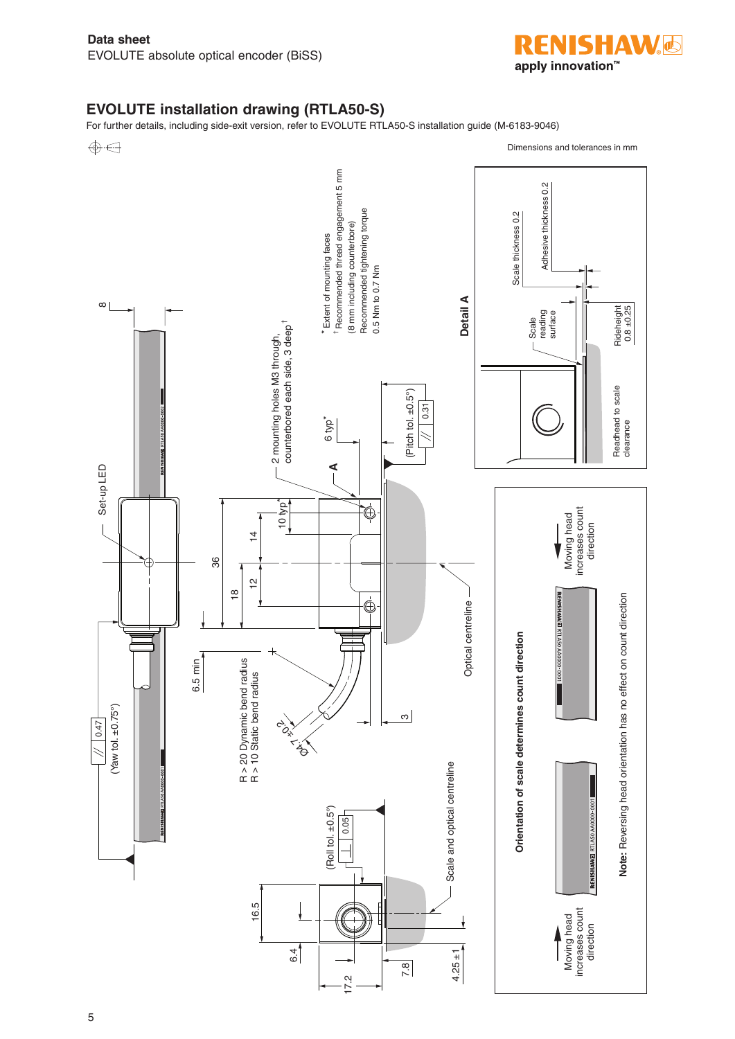

#### **EVOLUTE installation drawing (RTLA50-S)**

For further details, including side-exit version, refer to EVOLUTE RTLA50-S installation guide (M-6183-9046)